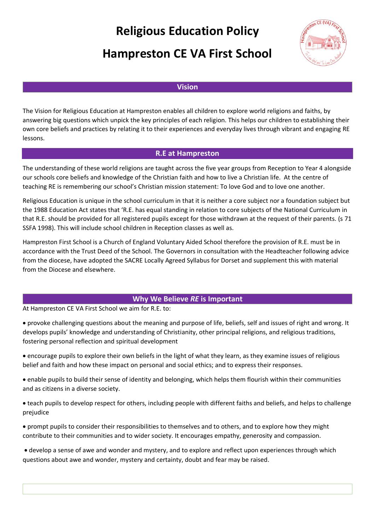# **Religious Education Policy**

# **Hampreston CE VA First School**



# **Vision**

The Vision for Religious Education at Hampreston enables all children to explore world religions and faiths, by answering big questions which unpick the key principles of each religion. This helps our children to establishing their own core beliefs and practices by relating it to their experiences and everyday lives through vibrant and engaging RE lessons.

## **R.E at Hampreston**

The understanding of these world religions are taught across the five year groups from Reception to Year 4 alongside our schools core beliefs and knowledge of the Christian faith and how to live a Christian life. At the centre of teaching RE is remembering our school's Christian mission statement: To love God and to love one another.

Religious Education is unique in the school curriculum in that it is neither a core subject nor a foundation subject but the 1988 Education Act states that 'R.E. has equal standing in relation to core subjects of the National Curriculum in that R.E. should be provided for all registered pupils except for those withdrawn at the request of their parents. (s 71 SSFA 1998). This will include school children in Reception classes as well as.

Hampreston First School is a Church of England Voluntary Aided School therefore the provision of R.E. must be in accordance with the Trust Deed of the School. The Governors in consultation with the Headteacher following advice from the diocese, have adopted the SACRE Locally Agreed Syllabus for Dorset and supplement this with material from the Diocese and elsewhere.

## **Why We Believe** *RE* **is Important**

At Hampreston CE VA First School we aim for R.E. to:

• provoke challenging questions about the meaning and purpose of life, beliefs, self and issues of right and wrong. It develops pupils' knowledge and understanding of Christianity, other principal religions, and religious traditions, fostering personal reflection and spiritual development

- encourage pupils to explore their own beliefs in the light of what they learn, as they examine issues of religious belief and faith and how these impact on personal and social ethics; and to express their responses.
- enable pupils to build their sense of identity and belonging, which helps them flourish within their communities and as citizens in a diverse society.
- teach pupils to develop respect for others, including people with different faiths and beliefs, and helps to challenge prejudice

• prompt pupils to consider their responsibilities to themselves and to others, and to explore how they might contribute to their communities and to wider society. It encourages empathy, generosity and compassion.

• develop a sense of awe and wonder and mystery, and to explore and reflect upon experiences through which questions about awe and wonder, mystery and certainty, doubt and fear may be raised.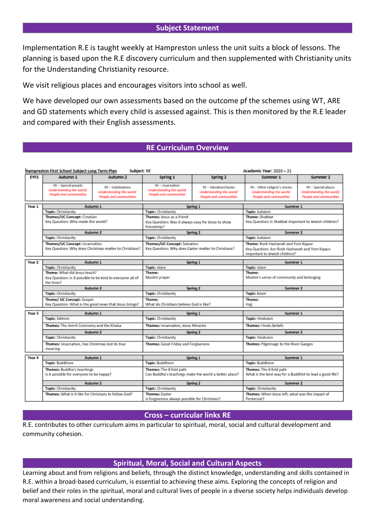## **Subject Statement**

Implementation R.E is taught weekly at Hampreston unless the unit suits a block of lessons. The planning is based upon the R.E discovery curriculum and then supplemented with Christianity units for the Understanding Christianity resource.

We visit religious places and encourages visitors into school as well.

We have developed our own assessments based on the outcome pf the schemes using WT, ARE and GD statements which every child is assessed against. This is then monitored by the R.E leader and compared with their English assessments.

# **RE Curriculum Overview**

| Hampreston First School Subject Long Term Plan<br>Subject: RE<br>Academic Year: 2020 - 21 |                                                                                          |                                                                         |                                                                                                |                                                                             |                                                                                                                        |                                                                           |
|-------------------------------------------------------------------------------------------|------------------------------------------------------------------------------------------|-------------------------------------------------------------------------|------------------------------------------------------------------------------------------------|-----------------------------------------------------------------------------|------------------------------------------------------------------------------------------------------------------------|---------------------------------------------------------------------------|
| <b>EYFS</b>                                                                               | Autumn 1                                                                                 | Autumn 2                                                                | Spring 1                                                                                       | Spring 2                                                                    | Summer 1                                                                                                               | Summer 2                                                                  |
|                                                                                           | RE - Special people<br>Understanding the world:<br>People and communities                | RE - Celebrations<br>Understanding the world:<br>People and communities | $RE - Incarnation$<br>Understanding the world:<br>People and communities                       | RE - Salvation/Easter<br>Understanding the world:<br>People and communities | RE - Other religion's stories<br>Understanding the world:<br>People and communities                                    | RE - Special places<br>Understanding the world:<br>People and communities |
| Year 1                                                                                    | Autumn 1                                                                                 |                                                                         | Spring 1                                                                                       |                                                                             | Summer 1                                                                                                               |                                                                           |
|                                                                                           | <b>Topic:</b> Christianity                                                               |                                                                         | <b>Topic:</b> Christianity                                                                     |                                                                             | Topic: Judaism                                                                                                         |                                                                           |
|                                                                                           | Themes/UC Concept: Creation<br>Key Question: Who made the world?                         |                                                                         | Themes: Jesus as a friend<br>Key Question: Was it always easy for Jesus to show<br>friendship? |                                                                             | Theme: Shabbat<br>Key Question: Is Shabbat important to Jewish children?                                               |                                                                           |
|                                                                                           | Autumn 2                                                                                 |                                                                         | Spring 2                                                                                       |                                                                             | Summer 2                                                                                                               |                                                                           |
|                                                                                           | Topic: Christianity                                                                      |                                                                         | Topic: Christianity                                                                            |                                                                             | Topic: Judaism                                                                                                         |                                                                           |
|                                                                                           | Themes/UC Concept: Incarnation<br>Key Question: Why does Christmas matter to Christians? |                                                                         | Themes/UC Concept: Salvation<br>Key Question: Why does Easter matter to Christians?            |                                                                             | Theme: Rosh Hashanah and Yom Kippur<br>Key Question: Are Rosh Hashanah and Yom Kippur<br>important to Jewish children? |                                                                           |
| Year 2                                                                                    | Autumn 1                                                                                 |                                                                         | Spring 1                                                                                       |                                                                             | Summer 1                                                                                                               |                                                                           |
|                                                                                           | Topic: Christianity                                                                      |                                                                         | Topic: Islam                                                                                   |                                                                             | Topic: Islam                                                                                                           |                                                                           |
|                                                                                           | Theme: What did Jesus teach?                                                             |                                                                         | Theme:                                                                                         |                                                                             | Theme:                                                                                                                 |                                                                           |
|                                                                                           | Key Question: Is it possible to be kind to everyone all of<br>the time?                  |                                                                         | Muslim prayer                                                                                  |                                                                             | Muslim's sense of community and belonging                                                                              |                                                                           |
|                                                                                           | Autumn 2                                                                                 |                                                                         | Spring 2                                                                                       |                                                                             | Summer 2                                                                                                               |                                                                           |
|                                                                                           | Topic: Christianity                                                                      |                                                                         | Topic: Christianity                                                                            |                                                                             | Topic: Islam                                                                                                           |                                                                           |
|                                                                                           | Theme/ UC Concept: Gospel<br>Key Question: What is the good news that Jesus brings?      |                                                                         | Theme:<br>What do Christians believe God is like?                                              |                                                                             | Theme:<br>Haji                                                                                                         |                                                                           |
| Year <sub>3</sub>                                                                         | Autumn 1                                                                                 |                                                                         | Spring 1                                                                                       |                                                                             | Summer 1                                                                                                               |                                                                           |
|                                                                                           | Topic: Sikhism                                                                           |                                                                         | <b>Topic:</b> Christianity                                                                     |                                                                             | <b>Topic: Hinduism</b>                                                                                                 |                                                                           |
|                                                                                           | Themes: The Amrit Ceremony and the Khalsa                                                |                                                                         | Themes: Incarnation, Jesus Miracles                                                            |                                                                             | <b>Themes: Hindu Beliefs</b>                                                                                           |                                                                           |
|                                                                                           | Autumn 2                                                                                 |                                                                         | Spring 2                                                                                       |                                                                             | Summer 2                                                                                                               |                                                                           |
|                                                                                           | Topic: Christianity<br>Themes: Incarnation, Has Christmas lost its true<br>meaning       |                                                                         | <b>Topic:</b> Christianity                                                                     |                                                                             | <b>Topic: Hinduism</b>                                                                                                 |                                                                           |
|                                                                                           |                                                                                          |                                                                         | Themes: Good Friday and Forgiveness                                                            |                                                                             | Themes: Pilgrimage to the River Ganges                                                                                 |                                                                           |
| Year 4                                                                                    | Autumn 1                                                                                 |                                                                         | Spring 1                                                                                       |                                                                             | Summer 1                                                                                                               |                                                                           |
|                                                                                           | Topic: Buddhism                                                                          |                                                                         | Topic: Buddhism                                                                                |                                                                             | Topic: Buddhism                                                                                                        |                                                                           |
|                                                                                           | Themes: Buddha's teachings<br>Is it possible for everyone to be happy?                   |                                                                         | Themes: The 8 fold path<br>Can Buddha's teachings make the world a better place?               |                                                                             | Themes: The 8 fold path<br>What is the best way for a Buddhist to lead a good life?                                    |                                                                           |
|                                                                                           | Autumn 2                                                                                 |                                                                         | Spring 2                                                                                       |                                                                             | Summer 2                                                                                                               |                                                                           |
|                                                                                           | Topic: Christianity                                                                      |                                                                         | Topic: Christianity                                                                            |                                                                             | Topic: Christianity                                                                                                    |                                                                           |
|                                                                                           | Themes: What is it like for Christians to follow God?                                    |                                                                         | <b>Themes: Easter</b><br>Is forgiveness always possible for Christians?                        |                                                                             | Themes: When Jesus left, what was the impact of<br>Pentecost?                                                          |                                                                           |

## **Cross – curricular links RE**

R.E. contributes to other curriculum aims in particular to spiritual, moral, social and cultural development and community cohesion.

## **Spiritual, Moral, Social and Cultural Aspects**

Learning about and from religions and beliefs, through the distinct knowledge, understanding and skills contained in R.E. within a broad-based curriculum, is essential to achieving these aims. Exploring the concepts of religion and belief and their roles in the spiritual, moral and cultural lives of people in a diverse society helps individuals develop moral awareness and social understanding.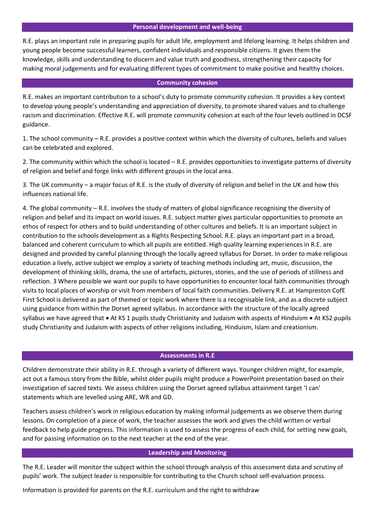#### **Personal development and well-being**

R.E. plays an important role in preparing pupils for adult life, employment and lifelong learning. It helps children and young people become successful learners, confident individuals and responsible citizens. It gives them the knowledge, skills and understanding to discern and value truth and goodness, strengthening their capacity for making moral judgements and for evaluating different types of commitment to make positive and healthy choices.

### **Community cohesion**

R.E. makes an important contribution to a school's duty to promote community cohesion. It provides a key context to develop young people's understanding and appreciation of diversity, to promote shared values and to challenge racism and discrimination. Effective R.E. will promote community cohesion at each of the four levels outlined in DCSF guidance.

1. The school community – R.E. provides a positive context within which the diversity of cultures, beliefs and values can be celebrated and explored.

2. The community within which the school is located – R.E. provides opportunities to investigate patterns of diversity of religion and belief and forge links with different groups in the local area.

3. The UK community – a major focus of R.E. is the study of diversity of religion and belief in the UK and how this influences national life.

4. The global community – R.E. involves the study of matters of global significance recognising the diversity of religion and belief and its impact on world issues. R.E. subject matter gives particular opportunities to promote an ethos of respect for others and to build understanding of other cultures and beliefs. It is an important subject in contribution to the schools development as a Rights Respecting School. R.E. plays an important part in a broad, balanced and coherent curriculum to which all pupils are entitled. High quality learning experiences in R.E. are designed and provided by careful planning through the locally agreed syllabus for Dorset. In order to make religious education a lively, active subject we employ a variety of teaching methods including art, music, discussion, the development of thinking skills, drama, the use of artefacts, pictures, stories, and the use of periods of stillness and reflection. 3 Where possible we want our pupils to have opportunities to encounter local faith communities through visits to local places of worship or visit from members of local faith communities. Delivery R.E. at Hampreston CofE First School is delivered as part of themed or topic work where there is a recognisable link, and as a discrete subject using guidance from within the Dorset agreed syllabus. In accordance with the structure of the locally agreed syllabus we have agreed that • At KS 1 pupils study Christianity and Judaism with aspects of Hinduism • At KS2 pupils study Christianity and Judaism with aspects of other religions including, Hinduism, Islam and creationism.

#### **Assessments in R.E**

Children demonstrate their ability in R.E. through a variety of different ways. Younger children might, for example, act out a famous story from the Bible, whilst older pupils might produce a PowerPoint presentation based on their investigation of sacred texts. We assess children using the Dorset agreed syllabus attainment target 'I can' statements which are levelled using ARE, WR and GD.

Teachers assess children's work in religious education by making informal judgements as we observe them during lessons. On completion of a piece of work, the teacher assesses the work and gives the child written or verbal feedback to help guide progress. This information is used to assess the progress of each child, for setting new goals, and for passing information on to the next teacher at the end of the year.

#### **Leadership and Monitoring**

The R.E. Leader will monitor the subject within the school through analysis of this assessment data and scrutiny of pupils' work. The subject leader is responsible for contributing to the Church school self-evaluation process.

Information is provided for parents on the R.E. curriculum and the right to withdraw